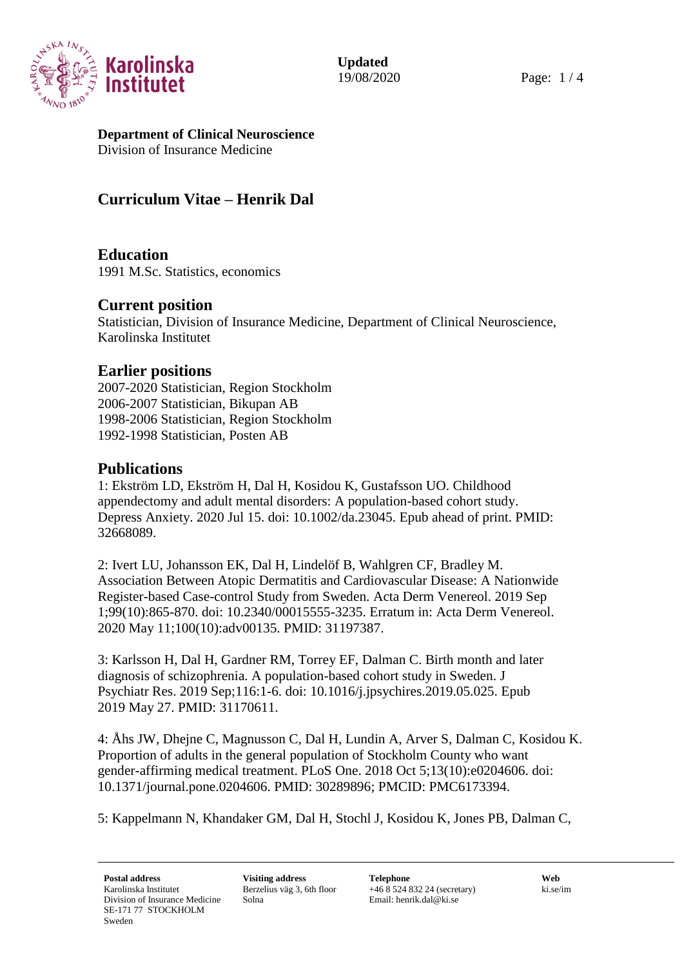

#### **Department of Clinical Neuroscience** Division of Insurance Medicine

# **Curriculum Vitae – Henrik Dal**

**Education** 1991 M.Sc. Statistics, economics

### **Current position**

Statistician, Division of Insurance Medicine, Department of Clinical Neuroscience, Karolinska Institutet

## **Earlier positions**

2007-2020 Statistician, Region Stockholm 2006-2007 Statistician, Bikupan AB 1998-2006 Statistician, Region Stockholm 1992-1998 Statistician, Posten AB

### **Publications**

1: Ekström LD, Ekström H, Dal H, Kosidou K, Gustafsson UO. Childhood appendectomy and adult mental disorders: A population-based cohort study. Depress Anxiety. 2020 Jul 15. doi: 10.1002/da.23045. Epub ahead of print. PMID: 32668089.

2: Ivert LU, Johansson EK, Dal H, Lindelöf B, Wahlgren CF, Bradley M. Association Between Atopic Dermatitis and Cardiovascular Disease: A Nationwide Register-based Case-control Study from Sweden. Acta Derm Venereol. 2019 Sep 1;99(10):865-870. doi: 10.2340/00015555-3235. Erratum in: Acta Derm Venereol. 2020 May 11;100(10):adv00135. PMID: 31197387.

3: Karlsson H, Dal H, Gardner RM, Torrey EF, Dalman C. Birth month and later diagnosis of schizophrenia. A population-based cohort study in Sweden. J Psychiatr Res. 2019 Sep;116:1-6. doi: 10.1016/j.jpsychires.2019.05.025. Epub 2019 May 27. PMID: 31170611.

4: Åhs JW, Dhejne C, Magnusson C, Dal H, Lundin A, Arver S, Dalman C, Kosidou K. Proportion of adults in the general population of Stockholm County who want gender-affirming medical treatment. PLoS One. 2018 Oct 5;13(10):e0204606. doi: 10.1371/journal.pone.0204606. PMID: 30289896; PMCID: PMC6173394.

5: Kappelmann N, Khandaker GM, Dal H, Stochl J, Kosidou K, Jones PB, Dalman C,

**Postal address Visiting address Telephone Web** Karolinska Institutet Division of Insurance Medicine SE-171 77 STOCKHOLM Sweden

Berzelius väg 3, 6th floor Solna

+46 8 524 832 24 (secretary) Email: henrik.dal@ki.se

ki.se/im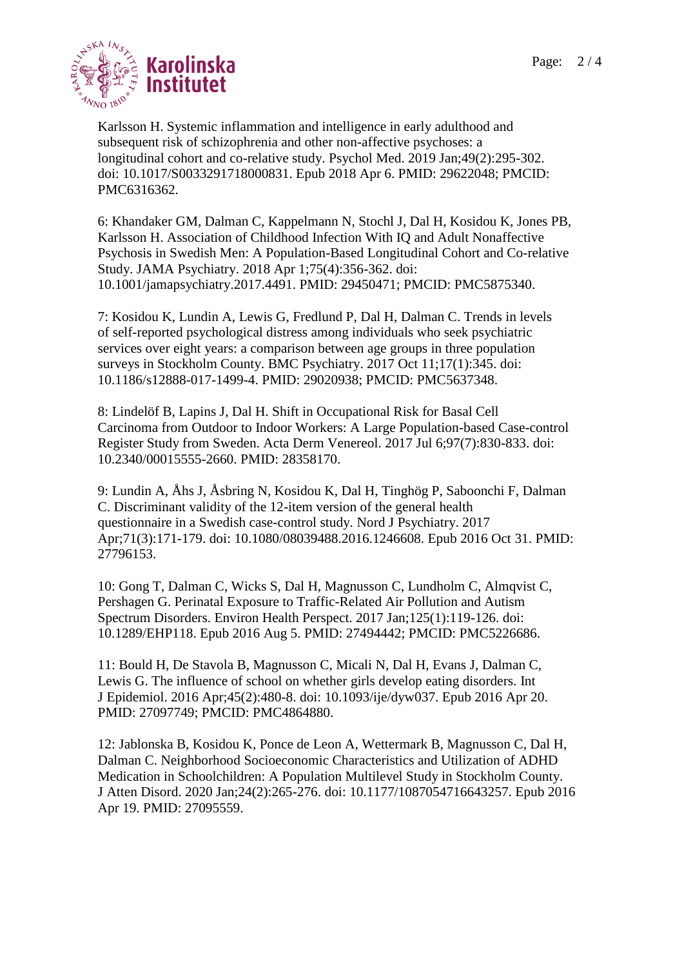

Karlsson H. Systemic inflammation and intelligence in early adulthood and subsequent risk of schizophrenia and other non-affective psychoses: a longitudinal cohort and co-relative study. Psychol Med. 2019 Jan;49(2):295-302. doi: 10.1017/S0033291718000831. Epub 2018 Apr 6. PMID: 29622048; PMCID: PMC6316362.

6: Khandaker GM, Dalman C, Kappelmann N, Stochl J, Dal H, Kosidou K, Jones PB, Karlsson H. Association of Childhood Infection With IQ and Adult Nonaffective Psychosis in Swedish Men: A Population-Based Longitudinal Cohort and Co-relative Study. JAMA Psychiatry. 2018 Apr 1;75(4):356-362. doi: 10.1001/jamapsychiatry.2017.4491. PMID: 29450471; PMCID: PMC5875340.

7: Kosidou K, Lundin A, Lewis G, Fredlund P, Dal H, Dalman C. Trends in levels of self-reported psychological distress among individuals who seek psychiatric services over eight years: a comparison between age groups in three population surveys in Stockholm County. BMC Psychiatry. 2017 Oct 11;17(1):345. doi: 10.1186/s12888-017-1499-4. PMID: 29020938; PMCID: PMC5637348.

8: Lindelöf B, Lapins J, Dal H. Shift in Occupational Risk for Basal Cell Carcinoma from Outdoor to Indoor Workers: A Large Population-based Case-control Register Study from Sweden. Acta Derm Venereol. 2017 Jul 6;97(7):830-833. doi: 10.2340/00015555-2660. PMID: 28358170.

9: Lundin A, Åhs J, Åsbring N, Kosidou K, Dal H, Tinghög P, Saboonchi F, Dalman C. Discriminant validity of the 12-item version of the general health questionnaire in a Swedish case-control study. Nord J Psychiatry. 2017 Apr;71(3):171-179. doi: 10.1080/08039488.2016.1246608. Epub 2016 Oct 31. PMID: 27796153.

10: Gong T, Dalman C, Wicks S, Dal H, Magnusson C, Lundholm C, Almqvist C, Pershagen G. Perinatal Exposure to Traffic-Related Air Pollution and Autism Spectrum Disorders. Environ Health Perspect. 2017 Jan;125(1):119-126. doi: 10.1289/EHP118. Epub 2016 Aug 5. PMID: 27494442; PMCID: PMC5226686.

11: Bould H, De Stavola B, Magnusson C, Micali N, Dal H, Evans J, Dalman C, Lewis G. The influence of school on whether girls develop eating disorders. Int J Epidemiol. 2016 Apr;45(2):480-8. doi: 10.1093/ije/dyw037. Epub 2016 Apr 20. PMID: 27097749; PMCID: PMC4864880.

12: Jablonska B, Kosidou K, Ponce de Leon A, Wettermark B, Magnusson C, Dal H, Dalman C. Neighborhood Socioeconomic Characteristics and Utilization of ADHD Medication in Schoolchildren: A Population Multilevel Study in Stockholm County. J Atten Disord. 2020 Jan;24(2):265-276. doi: 10.1177/1087054716643257. Epub 2016 Apr 19. PMID: 27095559.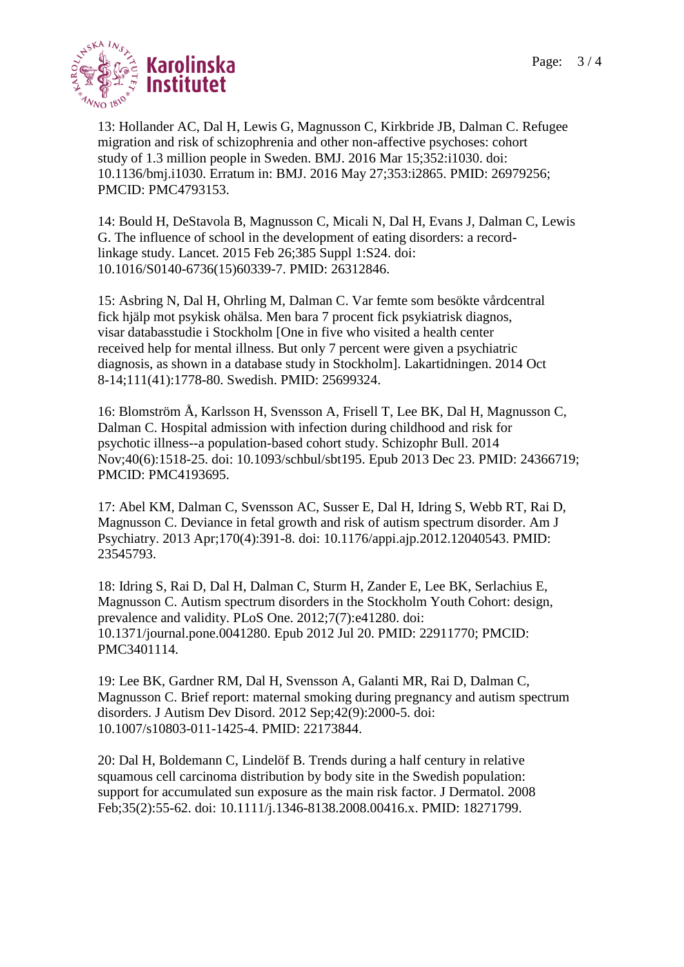

13: Hollander AC, Dal H, Lewis G, Magnusson C, Kirkbride JB, Dalman C. Refugee migration and risk of schizophrenia and other non-affective psychoses: cohort study of 1.3 million people in Sweden. BMJ. 2016 Mar 15;352:i1030. doi: 10.1136/bmj.i1030. Erratum in: BMJ. 2016 May 27;353:i2865. PMID: 26979256; PMCID: PMC4793153.

14: Bould H, DeStavola B, Magnusson C, Micali N, Dal H, Evans J, Dalman C, Lewis G. The influence of school in the development of eating disorders: a recordlinkage study. Lancet. 2015 Feb 26;385 Suppl 1:S24. doi: 10.1016/S0140-6736(15)60339-7. PMID: 26312846.

15: Asbring N, Dal H, Ohrling M, Dalman C. Var femte som besökte vårdcentral fick hjälp mot psykisk ohälsa. Men bara 7 procent fick psykiatrisk diagnos, visar databasstudie i Stockholm [One in five who visited a health center received help for mental illness. But only 7 percent were given a psychiatric diagnosis, as shown in a database study in Stockholm]. Lakartidningen. 2014 Oct 8-14;111(41):1778-80. Swedish. PMID: 25699324.

16: Blomström Å, Karlsson H, Svensson A, Frisell T, Lee BK, Dal H, Magnusson C, Dalman C. Hospital admission with infection during childhood and risk for psychotic illness--a population-based cohort study. Schizophr Bull. 2014 Nov;40(6):1518-25. doi: 10.1093/schbul/sbt195. Epub 2013 Dec 23. PMID: 24366719; PMCID: PMC4193695.

17: Abel KM, Dalman C, Svensson AC, Susser E, Dal H, Idring S, Webb RT, Rai D, Magnusson C. Deviance in fetal growth and risk of autism spectrum disorder. Am J Psychiatry. 2013 Apr;170(4):391-8. doi: 10.1176/appi.ajp.2012.12040543. PMID: 23545793.

18: Idring S, Rai D, Dal H, Dalman C, Sturm H, Zander E, Lee BK, Serlachius E, Magnusson C. Autism spectrum disorders in the Stockholm Youth Cohort: design, prevalence and validity. PLoS One. 2012;7(7):e41280. doi: 10.1371/journal.pone.0041280. Epub 2012 Jul 20. PMID: 22911770; PMCID: PMC3401114.

19: Lee BK, Gardner RM, Dal H, Svensson A, Galanti MR, Rai D, Dalman C, Magnusson C. Brief report: maternal smoking during pregnancy and autism spectrum disorders. J Autism Dev Disord. 2012 Sep;42(9):2000-5. doi: 10.1007/s10803-011-1425-4. PMID: 22173844.

20: Dal H, Boldemann C, Lindelöf B. Trends during a half century in relative squamous cell carcinoma distribution by body site in the Swedish population: support for accumulated sun exposure as the main risk factor. J Dermatol. 2008 Feb;35(2):55-62. doi: 10.1111/j.1346-8138.2008.00416.x. PMID: 18271799.